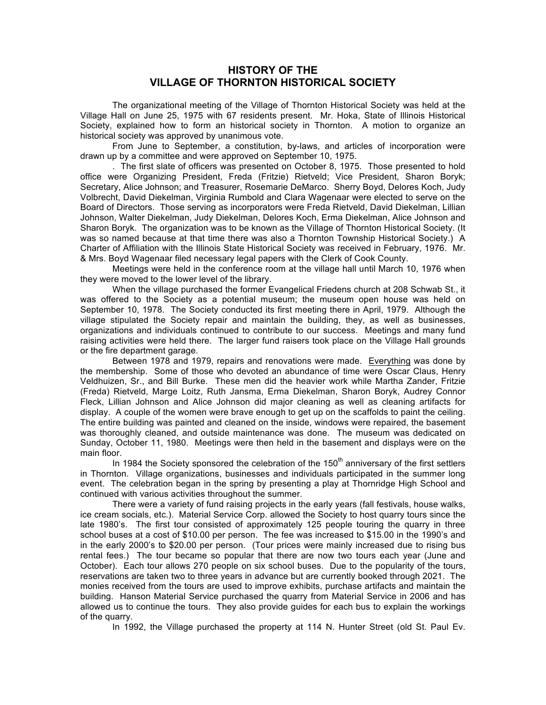## **HISTORY OF THE VILLAGE OF THORNTON HISTORICAL SOCIETY**

The organizational meeting of the Village of Thornton Historical Society was held at the Village Hall on June 25, 1975 with 67 residents present. Mr. Hoka, State of Illinois Historical Society, explained how to form an historical society in Thornton. A motion to organize an historical society was approved by unanimous vote.

From June to September, a constitution, by-laws, and articles of incorporation were drawn up by a committee and were approved on September 10, 1975.

. The first slate of officers was presented on October 8, 1975. Those presented to hold office were Organizing President, Freda (Fritzie) Rietveld; Vice President, Sharon Boryk; Secretary, Alice Johnson; and Treasurer, Rosemarie DeMarco. Sherry Boyd, Delores Koch, Judy Volbrecht, David Diekelman, Virginia Rumbold and Clara Wagenaar were elected to serve on the Board of Directors. Those serving as incorporators were Freda Rietveld, David Diekelman, Lillian Johnson, Walter Diekelman, Judy Diekelman, Delores Koch, Erma Diekelman, Alice Johnson and Sharon Boryk. The organization was to be known as the Village of Thornton Historical Society. (It was so named because at that time there was also a Thornton Township Historical Society.) A Charter of Affiliation with the Illinois State Historical Society was received in February, 1976. Mr. & Mrs. Boyd Wagenaar filed necessary legal papers with the Clerk of Cook County.

Meetings were held in the conference room at the village hall until March 10, 1976 when they were moved to the lower level of the library.

When the village purchased the former Evangelical Friedens church at 208 Schwab St., it was offered to the Society as a potential museum; the museum open house was held on September 10, 1978. The Society conducted its first meeting there in April, 1979. Although the village stipulated the Society repair and maintain the building, they, as well as businesses, organizations and individuals continued to contribute to our success. Meetings and many fund raising activities were held there. The larger fund raisers took place on the Village Hall grounds or the fire department garage.

Between 1978 and 1979, repairs and renovations were made. Everything was done by the membership. Some of those who devoted an abundance of time were Oscar Claus, Henry Veldhuizen, Sr., and Bill Burke. These men did the heavier work while Martha Zander, Fritzie (Freda) Rietveld, Marge Loitz, Ruth Jansma, Erma Diekelman, Sharon Boryk, Audrey Connor Fleck, Lillian Johnson and Alice Johnson did major cleaning as well as cleaning artifacts for display. A couple of the women were brave enough to get up on the scaffolds to paint the ceiling. The entire building was painted and cleaned on the inside, windows were repaired, the basement was thoroughly cleaned, and outside maintenance was done. The museum was dedicated on Sunday, October 11, 1980. Meetings were then held in the basement and displays were on the main floor.

In 1984 the Society sponsored the celebration of the  $150<sup>th</sup>$  anniversary of the first settlers in Thornton. Village organizations, businesses and individuals participated in the summer long event. The celebration began in the spring by presenting a play at Thornridge High School and continued with various activities throughout the summer.

There were a variety of fund raising projects in the early years (fall festivals, house walks, ice cream socials, etc.). Material Service Corp. allowed the Society to host quarry tours since the late 1980's. The first tour consisted of approximately 125 people touring the quarry in three school buses at a cost of \$10.00 per person. The fee was increased to \$15.00 in the 1990's and in the early 2000's to \$20.00 per person. (Tour prices were mainly increased due to rising bus rental fees.) The tour became so popular that there are now two tours each year (June and October). Each tour allows 270 people on six school buses. Due to the popularity of the tours, reservations are taken two to three years in advance but are currently booked through 2021. The monies received from the tours are used to improve exhibits, purchase artifacts and maintain the building. Hanson Material Service purchased the quarry from Material Service in 2006 and has allowed us to continue the tours. They also provide guides for each bus to explain the workings of the quarry.

In 1992, the Village purchased the property at 114 N. Hunter Street (old St. Paul Ev.